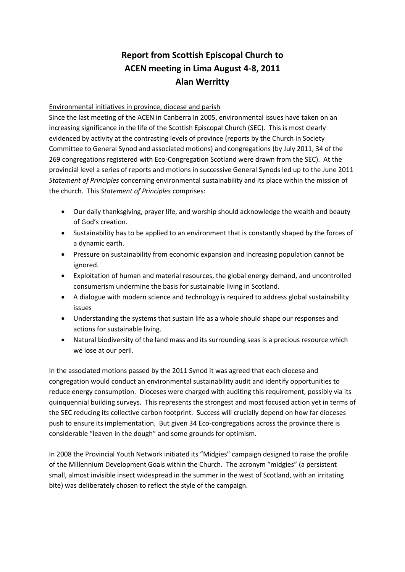# **Report from Scottish Episcopal Church to ACEN meeting in Lima August 4-8, 2011 Alan Werritty**

### Environmental initiatives in province, diocese and parish

Since the last meeting of the ACEN in Canberra in 2005, environmental issues have taken on an increasing significance in the life of the Scottish Episcopal Church (SEC). This is most clearly evidenced by activity at the contrasting levels of province (reports by the Church in Society Committee to General Synod and associated motions) and congregations (by July 2011, 34 of the 269 congregations registered with Eco-Congregation Scotland were drawn from the SEC). At the provincial level a series of reports and motions in successive General Synods led up to the June 2011 *Statement of Principles* concerning environmental sustainability and its place within the mission of the church. This *Statement of Principles* comprises:

- Our daily thanksgiving, prayer life, and worship should acknowledge the wealth and beauty of God's creation.
- Sustainability has to be applied to an environment that is constantly shaped by the forces of a dynamic earth.
- Pressure on sustainability from economic expansion and increasing population cannot be ignored.
- Exploitation of human and material resources, the global energy demand, and uncontrolled consumerism undermine the basis for sustainable living in Scotland.
- A dialogue with modern science and technology is required to address global sustainability issues
- Understanding the systems that sustain life as a whole should shape our responses and actions for sustainable living.
- Natural biodiversity of the land mass and its surrounding seas is a precious resource which we lose at our peril.

In the associated motions passed by the 2011 Synod it was agreed that each diocese and congregation would conduct an environmental sustainability audit and identify opportunities to reduce energy consumption. Dioceses were charged with auditing this requirement, possibly via its quinquennial building surveys. This represents the strongest and most focused action yet in terms of the SEC reducing its collective carbon footprint. Success will crucially depend on how far dioceses push to ensure its implementation. But given 34 Eco-congregations across the province there is considerable "leaven in the dough" and some grounds for optimism.

In 2008 the Provincial Youth Network initiated its "Midgies" campaign designed to raise the profile of the Millennium Development Goals within the Church. The acronym "midgies" (a persistent small, almost invisible insect widespread in the summer in the west of Scotland, with an irritating bite) was deliberately chosen to reflect the style of the campaign.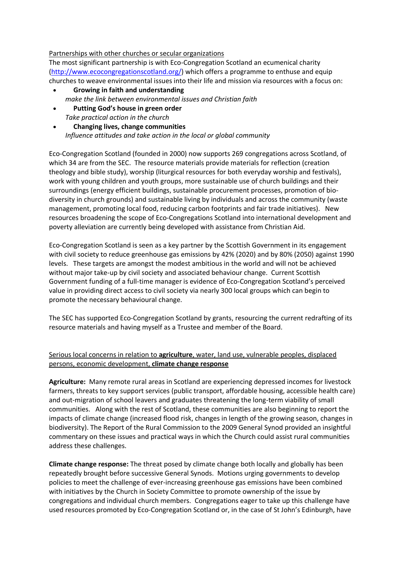#### Partnerships with other churches or secular organizations

The most significant partnership is with Eco-Congregation Scotland an ecumenical charity [\(http://www.ecocongregationscotland.org/\)](http://www.ecocongregationscotland.org/) which offers a programme to enthuse and equip churches to weave environmental issues into their life and mission via resources with a focus on:

- **Growing in faith and understanding** *make the link between environmental issues and Christian faith*
- **Putting God's house in green order** *Take practical action in the church*
- **Changing lives, change communities** *Influence attitudes and take action in the local or global community*

Eco-Congregation Scotland (founded in 2000) now supports 269 congregations across Scotland, of which 34 are from the SEC. The resource materials provide materials for reflection (creation theology and bible study), worship (liturgical resources for both everyday worship and festivals), work with young children and youth groups, more sustainable use of church buildings and their surroundings (energy efficient buildings, sustainable procurement processes, promotion of biodiversity in church grounds) and sustainable living by individuals and across the community (waste management, promoting local food, reducing carbon footprints and fair trade initiatives). New resources broadening the scope of Eco-Congregations Scotland into international development and poverty alleviation are currently being developed with assistance from Christian Aid.

Eco-Congregation Scotland is seen as a key partner by the Scottish Government in its engagement with civil society to reduce greenhouse gas emissions by 42% (2020) and by 80% (2050) against 1990 levels. These targets are amongst the modest ambitious in the world and will not be achieved without major take-up by civil society and associated behaviour change. Current Scottish Government funding of a full-time manager is evidence of Eco-Congregation Scotland's perceived value in providing direct access to civil society via nearly 300 local groups which can begin to promote the necessary behavioural change.

The SEC has supported Eco-Congregation Scotland by grants, resourcing the current redrafting of its resource materials and having myself as a Trustee and member of the Board.

## Serious local concerns in relation to **agriculture**, water, land use, vulnerable peoples, displaced persons, economic development, **climate change response**

**Agriculture:** Many remote rural areas in Scotland are experiencing depressed incomes for livestock farmers, threats to key support services (public transport, affordable housing, accessible health care) and out-migration of school leavers and graduates threatening the long-term viability of small communities. Along with the rest of Scotland, these communities are also beginning to report the impacts of climate change (increased flood risk, changes in length of the growing season, changes in biodiversity). The Report of the Rural Commission to the 2009 General Synod provided an insightful commentary on these issues and practical ways in which the Church could assist rural communities address these challenges.

**Climate change response:** The threat posed by climate change both locally and globally has been repeatedly brought before successive General Synods. Motions urging governments to develop policies to meet the challenge of ever-increasing greenhouse gas emissions have been combined with initiatives by the Church in Society Committee to promote ownership of the issue by congregations and individual church members. Congregations eager to take up this challenge have used resources promoted by Eco-Congregation Scotland or, in the case of St John's Edinburgh, have